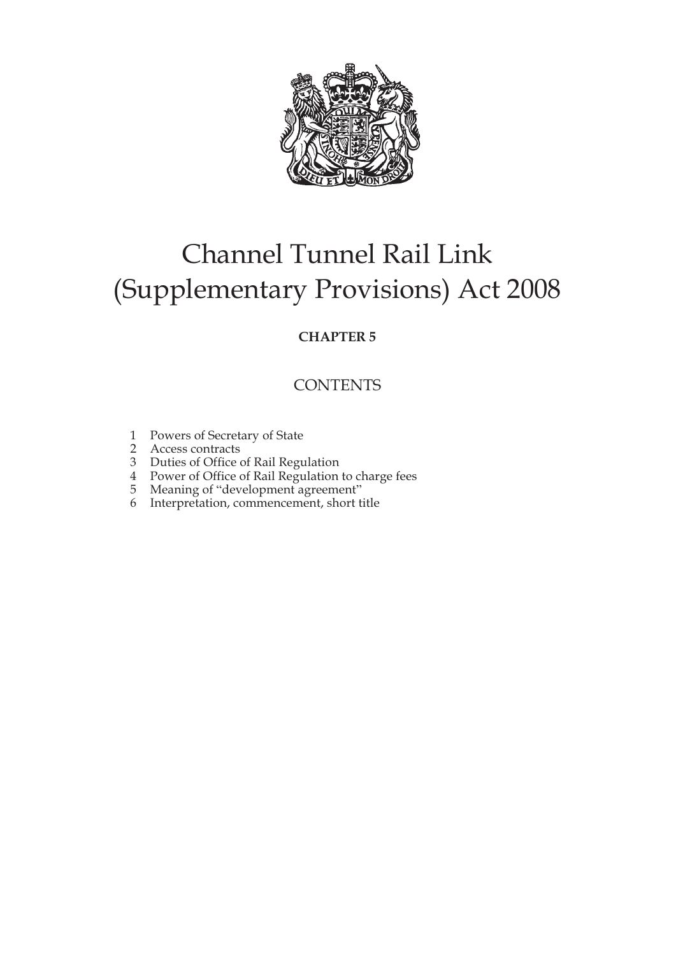

# Channel Tunnel Rail Link (Supplementary Provisions) Act 2008

## **CHAPTER 5**

## **CONTENTS**

- 1 Powers of Secretary of State
- 2 Access contracts
- 3 Duties of Office of Rail Regulation
- 4 Power of Office of Rail Regulation to charge fees
- 5 Meaning of "development agreement"
- 6 Interpretation, commencement, short title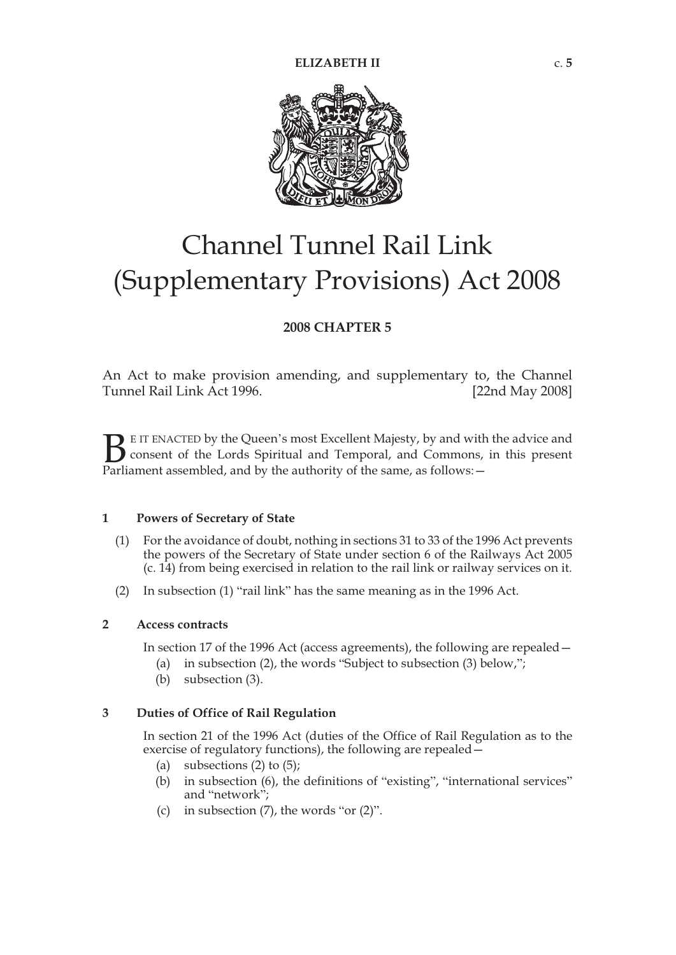

# Channel Tunnel Rail Link (Supplementary Provisions) Act 2008

### **2008 CHAPTER 5**

An Act to make provision amending, and supplementary to, the Channel Tunnel Rail Link Act 1996. [22nd May 2008]

E IT ENACTED by the Queen's most Excellent Majesty, by and with the advice and consent of the Lords Spiritual and Temporal, and Commons, in this present Parliament assembled, and by the authority of the same, as follows: - $B_{\text{Parti}}$ 

#### **1 Powers of Secretary of State**

- (1) For the avoidance of doubt, nothing in sections 31 to 33 of the 1996 Act prevents the powers of the Secretary of State under section 6 of the Railways Act 2005 (c. 14) from being exercised in relation to the rail link or railway services on it.
- (2) In subsection (1) "rail link" has the same meaning as in the 1996 Act.

#### **2 Access contracts**

In section 17 of the 1996 Act (access agreements), the following are repealed—

- (a) in subsection (2), the words "Subject to subsection (3) below,";
- (b) subsection (3).

### **3 Duties of Office of Rail Regulation**

In section 21 of the 1996 Act (duties of the Office of Rail Regulation as to the exercise of regulatory functions), the following are repealed -

- (a) subsections  $(2)$  to  $(5)$ ;
- (b) in subsection (6), the definitions of "existing", "international services" and "network";
- (c) in subsection  $(7)$ , the words "or  $(2)$ ".